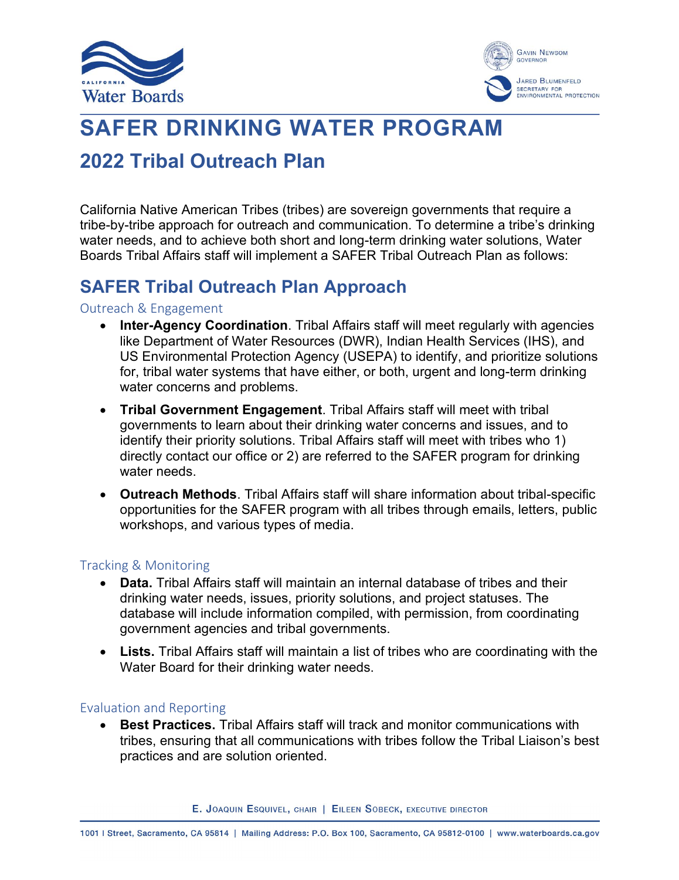



# **SAFER DRINKING WATER PROGRAM**

## **2022 Tribal Outreach Plan**

California Native American Tribes (tribes) are sovereign governments that require a tribe-by-tribe approach for outreach and communication. To determine a tribe's drinking water needs, and to achieve both short and long-term drinking water solutions, Water Boards Tribal Affairs staff will implement a SAFER Tribal Outreach Plan as follows:

## **SAFER Tribal Outreach Plan Approach**

#### Outreach & Engagement

- · **Inter-Agency Coordination**. Tribal Affairs staff will meet regularly with agencies like Department of Water Resources (DWR), Indian Health Services (IHS), and US Environmental Protection Agency (USEPA) to identify, and prioritize solutions for, tribal water systems that have either, or both, urgent and long-term drinking water concerns and problems.
- · **Tribal Government Engagement**. Tribal Affairs staff will meet with tribal governments to learn about their drinking water concerns and issues, and to identify their priority solutions. Tribal Affairs staff will meet with tribes who 1) directly contact our office or 2) are referred to the SAFER program for drinking water needs.
- · **Outreach Methods**. Tribal Affairs staff will share information about tribal-specific opportunities for the SAFER program with all tribes through emails, letters, public workshops, and various types of media.

#### Tracking & Monitoring

- · **Data.** Tribal Affairs staff will maintain an internal database of tribes and their drinking water needs, issues, priority solutions, and project statuses. The database will include information compiled, with permission, from coordinating government agencies and tribal governments.
- · **Lists.** Tribal Affairs staff will maintain a list of tribes who are coordinating with the Water Board for their drinking water needs.

#### Evaluation and Reporting

· **Best Practices.** Tribal Affairs staff will track and monitor communications with tribes, ensuring that all communications with tribes follow the Tribal Liaison's best practices and are solution oriented.

E. JOAQUIN ESQUIVEL, CHAIR | EILEEN SOBECK, EXECUTIVE DIRECTOR